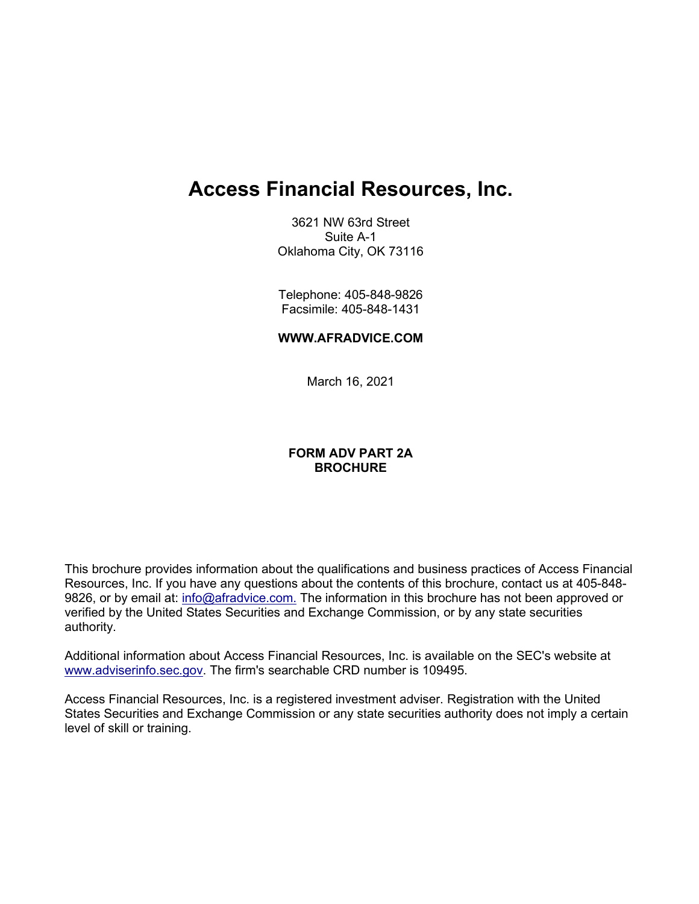# **Access Financial Resources, Inc.**

3621 NW 63rd Street Suite A-1 Oklahoma City, OK 73116

Telephone: 405-848-9826 Facsimile: 405-848-1431

### **[WWW.AFRADVICE.COM](http://www.capfinancial.com/)**

March 16, 2021

## **FORM ADV PART 2A BROCHURE**

This brochure provides information about the qualifications and business practices of Access Financial Resources, Inc. If you have any questions about the contents of this brochure, contact us at 405-848- 9826, or by email at: [info@afradvice.com.](mailto:info@afradvice.com) The information in this brochure has not been approved or verified by the United States Securities and Exchange Commission, or by any state securities authority.

Additional information about Access Financial Resources, Inc. is available on the SEC's website at [www.adviserinfo.sec.gov.](http://www.adviserinfo.sec.gov/) The firm's searchable CRD number is 109495.

Access Financial Resources, Inc. is a registered investment adviser. Registration with the United States Securities and Exchange Commission or any state securities authority does not imply a certain level of skill or training.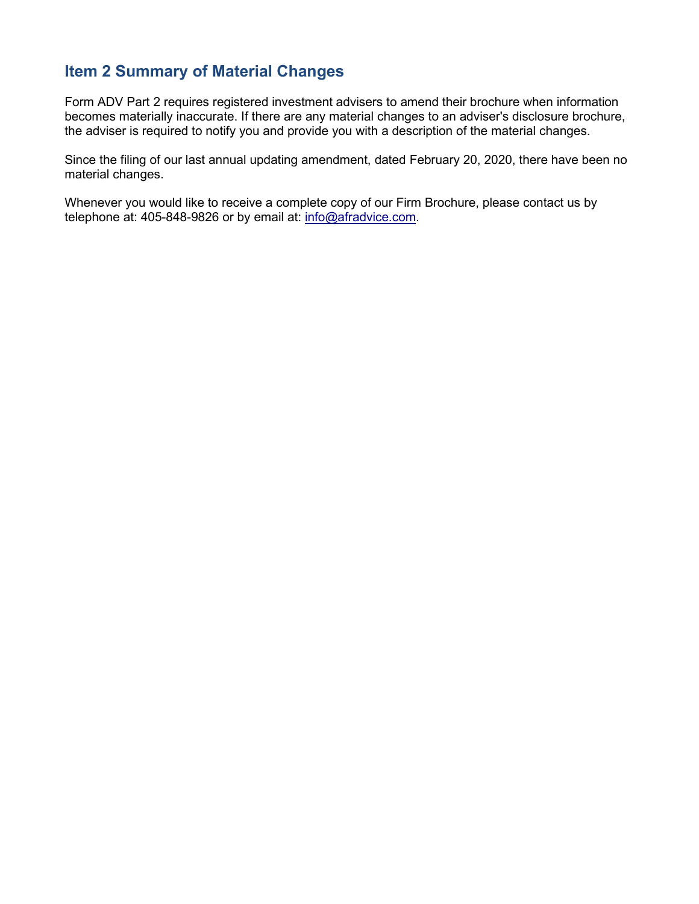## <span id="page-1-0"></span>**Item 2 Summary of Material Changes**

Form ADV Part 2 requires registered investment advisers to amend their brochure when information becomes materially inaccurate. If there are any material changes to an adviser's disclosure brochure, the adviser is required to notify you and provide you with a description of the material changes.

Since the filing of our last annual updating amendment, dated February 20, 2020, there have been no material changes.

Whenever you would like to receive a complete copy of our Firm Brochure, please contact us by telephone at: 405-848-9826 or by email at: [info@afradvice.com.](mailto:info@afradvice.com)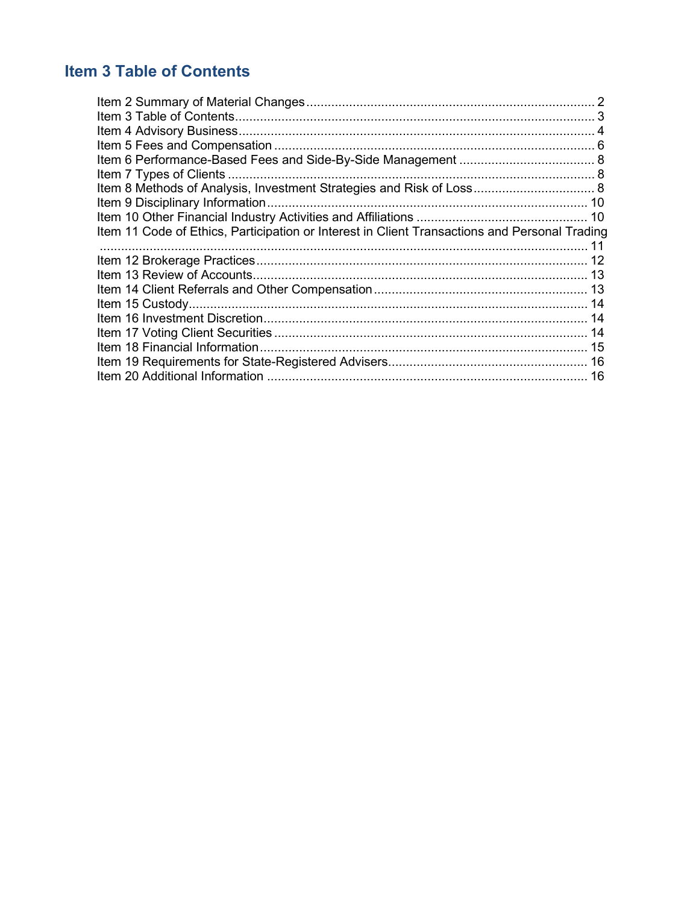## <span id="page-2-0"></span>**Item 3 Table of Contents**

| Item 8 Methods of Analysis, Investment Strategies and Risk of Loss 8<br>Item 11 Code of Ethics, Participation or Interest in Client Transactions and Personal Trading |  |
|-----------------------------------------------------------------------------------------------------------------------------------------------------------------------|--|
|                                                                                                                                                                       |  |
|                                                                                                                                                                       |  |
|                                                                                                                                                                       |  |
|                                                                                                                                                                       |  |
|                                                                                                                                                                       |  |
|                                                                                                                                                                       |  |
|                                                                                                                                                                       |  |
|                                                                                                                                                                       |  |
|                                                                                                                                                                       |  |
|                                                                                                                                                                       |  |
|                                                                                                                                                                       |  |
|                                                                                                                                                                       |  |
|                                                                                                                                                                       |  |
|                                                                                                                                                                       |  |
|                                                                                                                                                                       |  |
|                                                                                                                                                                       |  |
|                                                                                                                                                                       |  |
|                                                                                                                                                                       |  |
|                                                                                                                                                                       |  |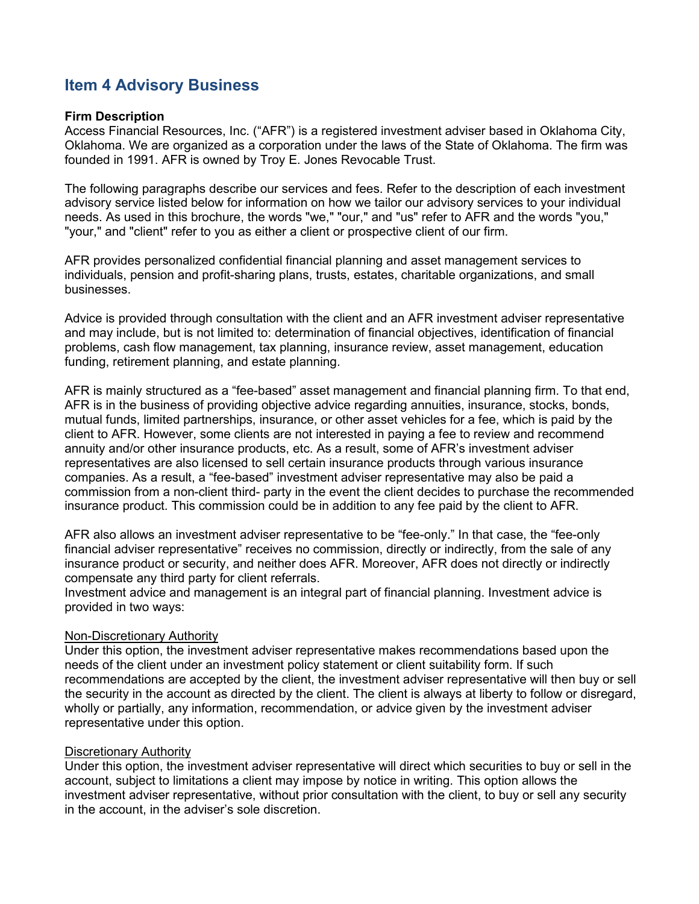## <span id="page-3-0"></span>**Item 4 Advisory Business**

### **Firm Description**

Access Financial Resources, Inc. ("AFR") is a registered investment adviser based in Oklahoma City, Oklahoma. We are organized as a corporation under the laws of the State of Oklahoma. The firm was founded in 1991. AFR is owned by Troy E. Jones Revocable Trust.

The following paragraphs describe our services and fees. Refer to the description of each investment advisory service listed below for information on how we tailor our advisory services to your individual needs. As used in this brochure, the words "we," "our," and "us" refer to AFR and the words "you," "your," and "client" refer to you as either a client or prospective client of our firm.

AFR provides personalized confidential financial planning and asset management services to individuals, pension and profit-sharing plans, trusts, estates, charitable organizations, and small businesses.

Advice is provided through consultation with the client and an AFR investment adviser representative and may include, but is not limited to: determination of financial objectives, identification of financial problems, cash flow management, tax planning, insurance review, asset management, education funding, retirement planning, and estate planning.

AFR is mainly structured as a "fee-based" asset management and financial planning firm. To that end, AFR is in the business of providing objective advice regarding annuities, insurance, stocks, bonds, mutual funds, limited partnerships, insurance, or other asset vehicles for a fee, which is paid by the client to AFR. However, some clients are not interested in paying a fee to review and recommend annuity and/or other insurance products, etc. As a result, some of AFR's investment adviser representatives are also licensed to sell certain insurance products through various insurance companies. As a result, a "fee-based" investment adviser representative may also be paid a commission from a non-client third- party in the event the client decides to purchase the recommended insurance product. This commission could be in addition to any fee paid by the client to AFR.

AFR also allows an investment adviser representative to be "fee-only." In that case, the "fee-only financial adviser representative" receives no commission, directly or indirectly, from the sale of any insurance product or security, and neither does AFR. Moreover, AFR does not directly or indirectly compensate any third party for client referrals.

Investment advice and management is an integral part of financial planning. Investment advice is provided in two ways:

### Non-Discretionary Authority

Under this option, the investment adviser representative makes recommendations based upon the needs of the client under an investment policy statement or client suitability form. If such recommendations are accepted by the client, the investment adviser representative will then buy or sell the security in the account as directed by the client. The client is always at liberty to follow or disregard, wholly or partially, any information, recommendation, or advice given by the investment adviser representative under this option.

### Discretionary Authority

Under this option, the investment adviser representative will direct which securities to buy or sell in the account, subject to limitations a client may impose by notice in writing. This option allows the investment adviser representative, without prior consultation with the client, to buy or sell any security in the account, in the adviser's sole discretion.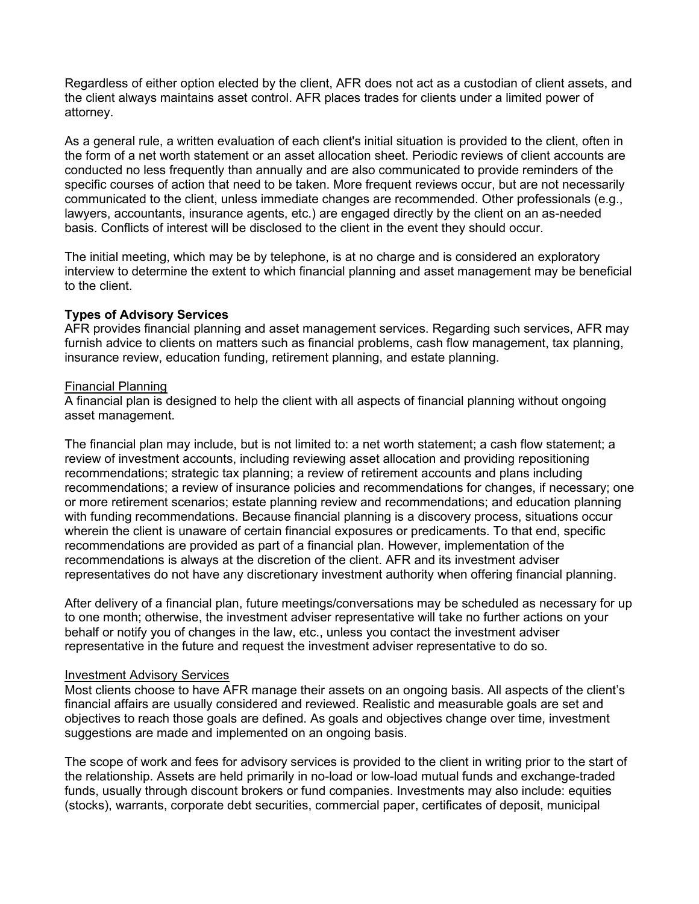Regardless of either option elected by the client, AFR does not act as a custodian of client assets, and the client always maintains asset control. AFR places trades for clients under a limited power of attorney.

As a general rule, a written evaluation of each client's initial situation is provided to the client, often in the form of a net worth statement or an asset allocation sheet. Periodic reviews of client accounts are conducted no less frequently than annually and are also communicated to provide reminders of the specific courses of action that need to be taken. More frequent reviews occur, but are not necessarily communicated to the client, unless immediate changes are recommended. Other professionals (e.g., lawyers, accountants, insurance agents, etc.) are engaged directly by the client on an as-needed basis. Conflicts of interest will be disclosed to the client in the event they should occur.

The initial meeting, which may be by telephone, is at no charge and is considered an exploratory interview to determine the extent to which financial planning and asset management may be beneficial to the client.

## **Types of Advisory Services**

AFR provides financial planning and asset management services. Regarding such services, AFR may furnish advice to clients on matters such as financial problems, cash flow management, tax planning, insurance review, education funding, retirement planning, and estate planning.

### Financial Planning

A financial plan is designed to help the client with all aspects of financial planning without ongoing asset management.

The financial plan may include, but is not limited to: a net worth statement; a cash flow statement; a review of investment accounts, including reviewing asset allocation and providing repositioning recommendations; strategic tax planning; a review of retirement accounts and plans including recommendations; a review of insurance policies and recommendations for changes, if necessary; one or more retirement scenarios; estate planning review and recommendations; and education planning with funding recommendations. Because financial planning is a discovery process, situations occur wherein the client is unaware of certain financial exposures or predicaments. To that end, specific recommendations are provided as part of a financial plan. However, implementation of the recommendations is always at the discretion of the client. AFR and its investment adviser representatives do not have any discretionary investment authority when offering financial planning.

After delivery of a financial plan, future meetings/conversations may be scheduled as necessary for up to one month; otherwise, the investment adviser representative will take no further actions on your behalf or notify you of changes in the law, etc., unless you contact the investment adviser representative in the future and request the investment adviser representative to do so.

### Investment Advisory Services

Most clients choose to have AFR manage their assets on an ongoing basis. All aspects of the client's financial affairs are usually considered and reviewed. Realistic and measurable goals are set and objectives to reach those goals are defined. As goals and objectives change over time, investment suggestions are made and implemented on an ongoing basis.

The scope of work and fees for advisory services is provided to the client in writing prior to the start of the relationship. Assets are held primarily in no-load or low-load mutual funds and exchange-traded funds, usually through discount brokers or fund companies. Investments may also include: equities (stocks), warrants, corporate debt securities, commercial paper, certificates of deposit, municipal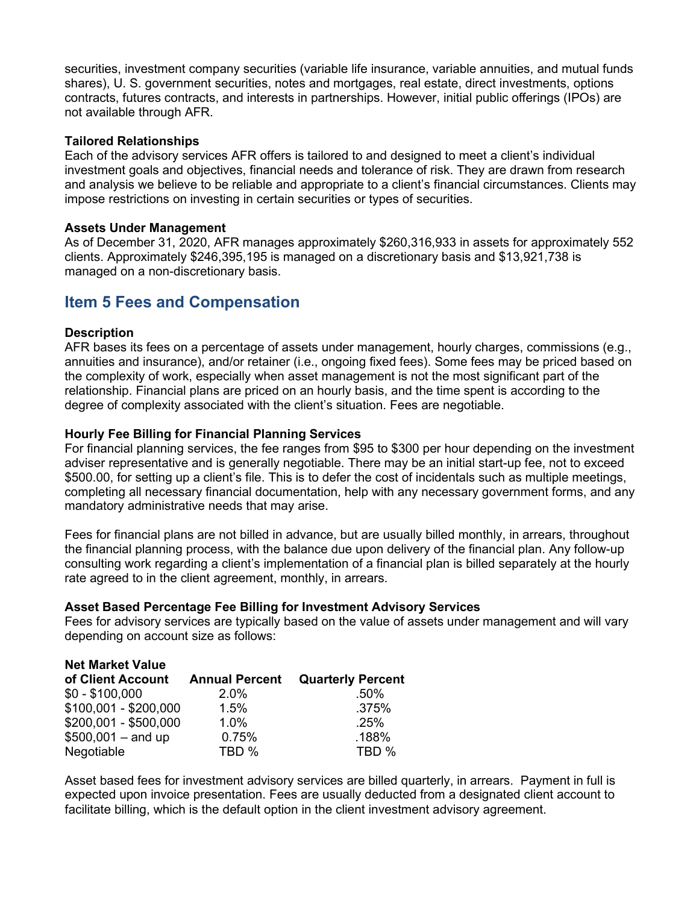securities, investment company securities (variable life insurance, variable annuities, and mutual funds shares), U. S. government securities, notes and mortgages, real estate, direct investments, options contracts, futures contracts, and interests in partnerships. However, initial public offerings (IPOs) are not available through AFR.

## **Tailored Relationships**

Each of the advisory services AFR offers is tailored to and designed to meet a client's individual investment goals and objectives, financial needs and tolerance of risk. They are drawn from research and analysis we believe to be reliable and appropriate to a client's financial circumstances. Clients may impose restrictions on investing in certain securities or types of securities.

### **Assets Under Management**

As of December 31, 2020, AFR manages approximately \$260,316,933 in assets for approximately 552 clients. Approximately \$246,395,195 is managed on a discretionary basis and \$13,921,738 is managed on a non-discretionary basis.

## <span id="page-5-0"></span>**Item 5 Fees and Compensation**

## **Description**

AFR bases its fees on a percentage of assets under management, hourly charges, commissions (e.g., annuities and insurance), and/or retainer (i.e., ongoing fixed fees). Some fees may be priced based on the complexity of work, especially when asset management is not the most significant part of the relationship. Financial plans are priced on an hourly basis, and the time spent is according to the degree of complexity associated with the client's situation. Fees are negotiable.

### **Hourly Fee Billing for Financial Planning Services**

For financial planning services, the fee ranges from \$95 to \$300 per hour depending on the investment adviser representative and is generally negotiable. There may be an initial start-up fee, not to exceed \$500.00, for setting up a client's file. This is to defer the cost of incidentals such as multiple meetings, completing all necessary financial documentation, help with any necessary government forms, and any mandatory administrative needs that may arise.

Fees for financial plans are not billed in advance, but are usually billed monthly, in arrears, throughout the financial planning process, with the balance due upon delivery of the financial plan. Any follow-up consulting work regarding a client's implementation of a financial plan is billed separately at the hourly rate agreed to in the client agreement, monthly, in arrears.

### **Asset Based Percentage Fee Billing for Investment Advisory Services**

Fees for advisory services are typically based on the value of assets under management and will vary depending on account size as follows:

| <b>Net Market Value</b> |                       |                          |
|-------------------------|-----------------------|--------------------------|
| of Client Account       | <b>Annual Percent</b> | <b>Quarterly Percent</b> |
| $$0 - $100,000$         | 2.0%                  | .50%                     |
| \$100,001 - \$200,000   | 1.5%                  | .375%                    |
| $$200,001 - $500,000$   | $1.0\%$               | .25%                     |
| $$500,001 - and up$     | 0.75%                 | .188%                    |
| Negotiable              | TBD %                 | TBD %                    |

Asset based fees for investment advisory services are billed quarterly, in arrears. Payment in full is expected upon invoice presentation. Fees are usually deducted from a designated client account to facilitate billing, which is the default option in the client investment advisory agreement.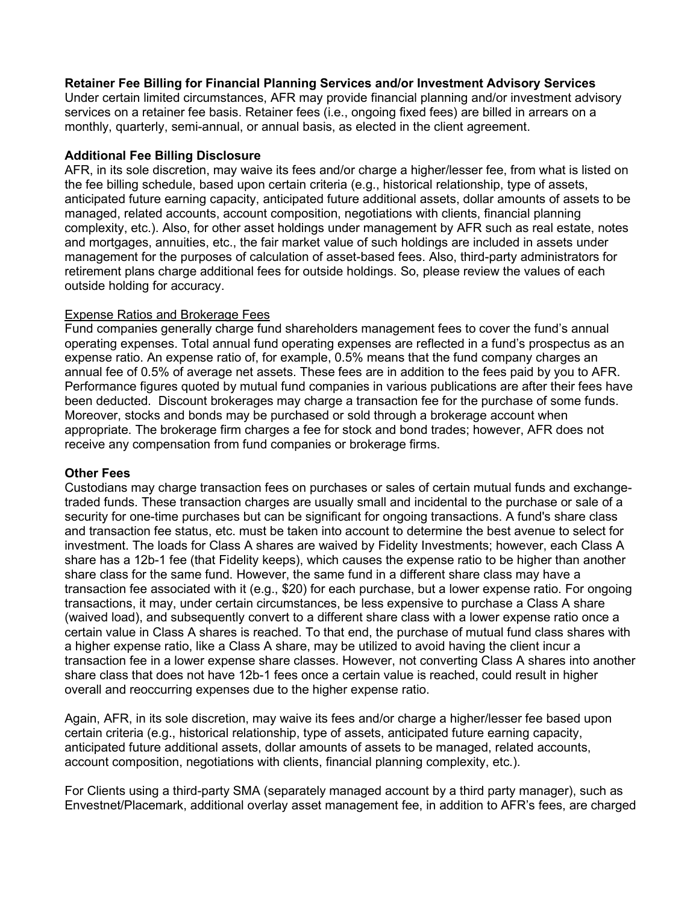### **Retainer Fee Billing for Financial Planning Services and/or Investment Advisory Services**

Under certain limited circumstances, AFR may provide financial planning and/or investment advisory services on a retainer fee basis. Retainer fees (i.e., ongoing fixed fees) are billed in arrears on a monthly, quarterly, semi-annual, or annual basis, as elected in the client agreement.

### **Additional Fee Billing Disclosure**

AFR, in its sole discretion, may waive its fees and/or charge a higher/lesser fee, from what is listed on the fee billing schedule, based upon certain criteria (e.g., historical relationship, type of assets, anticipated future earning capacity, anticipated future additional assets, dollar amounts of assets to be managed, related accounts, account composition, negotiations with clients, financial planning complexity, etc.). Also, for other asset holdings under management by AFR such as real estate, notes and mortgages, annuities, etc., the fair market value of such holdings are included in assets under management for the purposes of calculation of asset-based fees. Also, third-party administrators for retirement plans charge additional fees for outside holdings. So, please review the values of each outside holding for accuracy.

### Expense Ratios and Brokerage Fees

Fund companies generally charge fund shareholders management fees to cover the fund's annual operating expenses. Total annual fund operating expenses are reflected in a fund's prospectus as an expense ratio. An expense ratio of, for example, 0.5% means that the fund company charges an annual fee of 0.5% of average net assets. These fees are in addition to the fees paid by you to AFR. Performance figures quoted by mutual fund companies in various publications are after their fees have been deducted. Discount brokerages may charge a transaction fee for the purchase of some funds. Moreover, stocks and bonds may be purchased or sold through a brokerage account when appropriate. The brokerage firm charges a fee for stock and bond trades; however, AFR does not receive any compensation from fund companies or brokerage firms.

### **Other Fees**

Custodians may charge transaction fees on purchases or sales of certain mutual funds and exchangetraded funds. These transaction charges are usually small and incidental to the purchase or sale of a security for one-time purchases but can be significant for ongoing transactions. A fund's share class and transaction fee status, etc. must be taken into account to determine the best avenue to select for investment. The loads for Class A shares are waived by Fidelity Investments; however, each Class A share has a 12b-1 fee (that Fidelity keeps), which causes the expense ratio to be higher than another share class for the same fund. However, the same fund in a different share class may have a transaction fee associated with it (e.g., \$20) for each purchase, but a lower expense ratio. For ongoing transactions, it may, under certain circumstances, be less expensive to purchase a Class A share (waived load), and subsequently convert to a different share class with a lower expense ratio once a certain value in Class A shares is reached. To that end, the purchase of mutual fund class shares with a higher expense ratio, like a Class A share, may be utilized to avoid having the client incur a transaction fee in a lower expense share classes. However, not converting Class A shares into another share class that does not have 12b-1 fees once a certain value is reached, could result in higher overall and reoccurring expenses due to the higher expense ratio.

Again, AFR, in its sole discretion, may waive its fees and/or charge a higher/lesser fee based upon certain criteria (e.g., historical relationship, type of assets, anticipated future earning capacity, anticipated future additional assets, dollar amounts of assets to be managed, related accounts, account composition, negotiations with clients, financial planning complexity, etc.).

For Clients using a third-party SMA (separately managed account by a third party manager), such as Envestnet/Placemark, additional overlay asset management fee, in addition to AFR's fees, are charged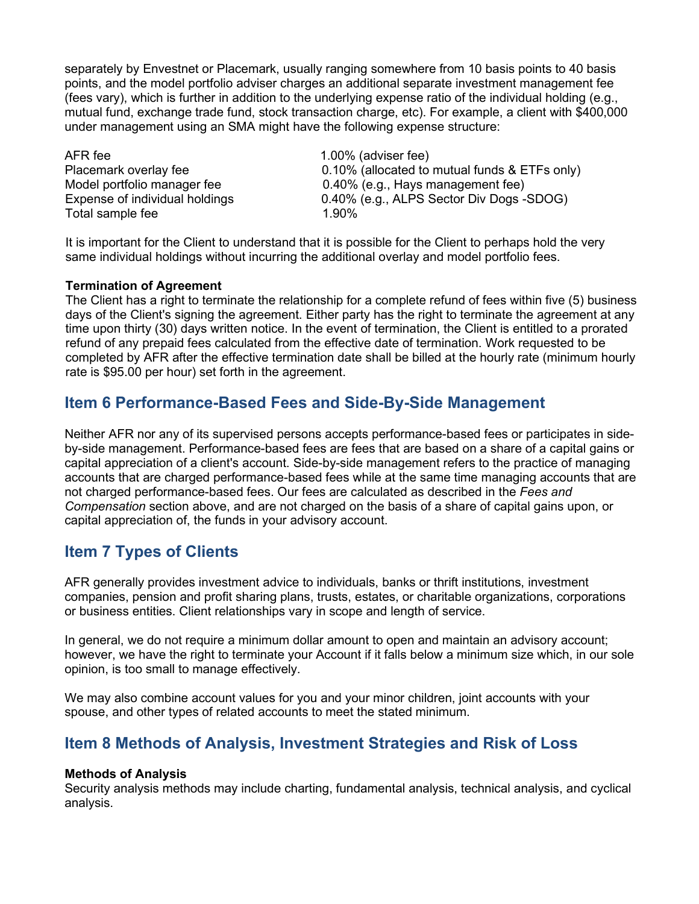separately by Envestnet or Placemark, usually ranging somewhere from 10 basis points to 40 basis points, and the model portfolio adviser charges an additional separate investment management fee (fees vary), which is further in addition to the underlying expense ratio of the individual holding (e.g., mutual fund, exchange trade fund, stock transaction charge, etc). For example, a client with \$400,000 under management using an SMA might have the following expense structure:

AFR fee 1.00% (adviser fee) Total sample fee

Placemark overlay fee 0.10% (allocated to mutual funds & ETFs only) Model portfolio manager fee 0.40% (e.g., Hays management fee) Expense of individual holdings  $0.40\%$  (e.g., ALPS Sector Div Dogs -SDOG)<br>Total sample fee  $1.90\%$ 

It is important for the Client to understand that it is possible for the Client to perhaps hold the very same individual holdings without incurring the additional overlay and model portfolio fees.

### **Termination of Agreement**

The Client has a right to terminate the relationship for a complete refund of fees within five (5) business days of the Client's signing the agreement. Either party has the right to terminate the agreement at any time upon thirty (30) days written notice. In the event of termination, the Client is entitled to a prorated refund of any prepaid fees calculated from the effective date of termination. Work requested to be completed by AFR after the effective termination date shall be billed at the hourly rate (minimum hourly rate is \$95.00 per hour) set forth in the agreement.

## <span id="page-7-0"></span>**Item 6 Performance-Based Fees and Side-By-Side Management**

Neither AFR nor any of its supervised persons accepts performance-based fees or participates in sideby-side management. Performance-based fees are fees that are based on a share of a capital gains or capital appreciation of a client's account. Side-by-side management refers to the practice of managing accounts that are charged performance-based fees while at the same time managing accounts that are not charged performance-based fees. Our fees are calculated as described in the *Fees and Compensation* section above, and are not charged on the basis of a share of capital gains upon, or capital appreciation of, the funds in your advisory account.

## <span id="page-7-1"></span>**Item 7 Types of Clients**

AFR generally provides investment advice to individuals, banks or thrift institutions, investment companies, pension and profit sharing plans, trusts, estates, or charitable organizations, corporations or business entities. Client relationships vary in scope and length of service.

In general, we do not require a minimum dollar amount to open and maintain an advisory account; however, we have the right to terminate your Account if it falls below a minimum size which, in our sole opinion, is too small to manage effectively.

We may also combine account values for you and your minor children, joint accounts with your spouse, and other types of related accounts to meet the stated minimum.

## <span id="page-7-2"></span>**Item 8 Methods of Analysis, Investment Strategies and Risk of Loss**

### **Methods of Analysis**

Security analysis methods may include charting, fundamental analysis, technical analysis, and cyclical analysis.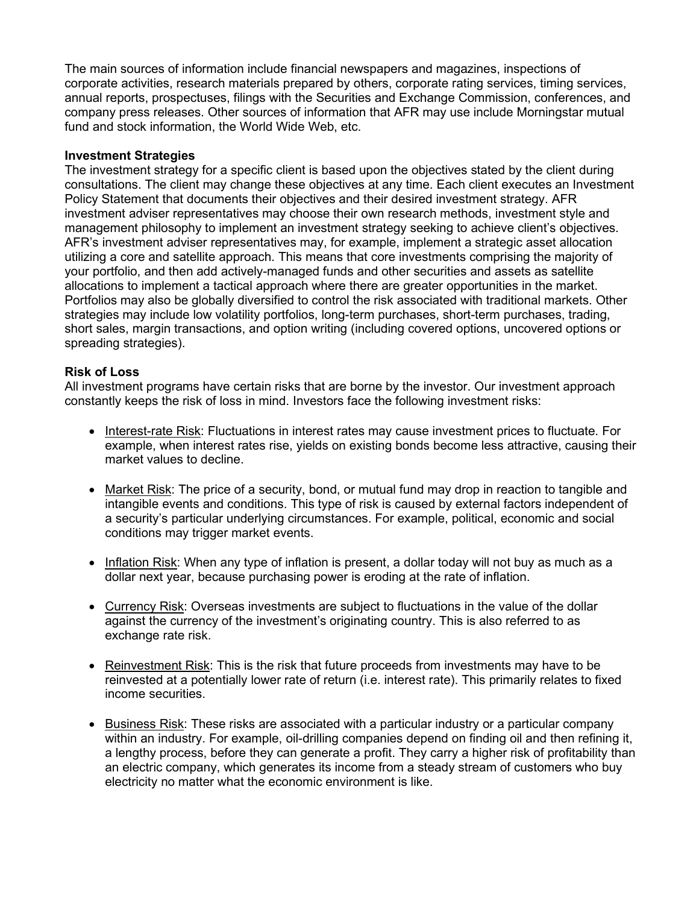The main sources of information include financial newspapers and magazines, inspections of corporate activities, research materials prepared by others, corporate rating services, timing services, annual reports, prospectuses, filings with the Securities and Exchange Commission, conferences, and company press releases. Other sources of information that AFR may use include Morningstar mutual fund and stock information, the World Wide Web, etc.

## **Investment Strategies**

The investment strategy for a specific client is based upon the objectives stated by the client during consultations. The client may change these objectives at any time. Each client executes an Investment Policy Statement that documents their objectives and their desired investment strategy. AFR investment adviser representatives may choose their own research methods, investment style and management philosophy to implement an investment strategy seeking to achieve client's objectives. AFR's investment adviser representatives may, for example, implement a strategic asset allocation utilizing a core and satellite approach. This means that core investments comprising the majority of your portfolio, and then add actively-managed funds and other securities and assets as satellite allocations to implement a tactical approach where there are greater opportunities in the market. Portfolios may also be globally diversified to control the risk associated with traditional markets. Other strategies may include low volatility portfolios, long-term purchases, short-term purchases, trading, short sales, margin transactions, and option writing (including covered options, uncovered options or spreading strategies).

### **Risk of Loss**

All investment programs have certain risks that are borne by the investor. Our investment approach constantly keeps the risk of loss in mind. Investors face the following investment risks:

- Interest-rate Risk: Fluctuations in interest rates may cause investment prices to fluctuate. For example, when interest rates rise, yields on existing bonds become less attractive, causing their market values to decline.
- Market Risk: The price of a security, bond, or mutual fund may drop in reaction to tangible and intangible events and conditions. This type of risk is caused by external factors independent of a security's particular underlying circumstances. For example, political, economic and social conditions may trigger market events.
- Inflation Risk: When any type of inflation is present, a dollar today will not buy as much as a dollar next year, because purchasing power is eroding at the rate of inflation.
- Currency Risk: Overseas investments are subject to fluctuations in the value of the dollar against the currency of the investment's originating country. This is also referred to as exchange rate risk.
- Reinvestment Risk: This is the risk that future proceeds from investments may have to be reinvested at a potentially lower rate of return (i.e. interest rate). This primarily relates to fixed income securities.
- Business Risk: These risks are associated with a particular industry or a particular company within an industry. For example, oil-drilling companies depend on finding oil and then refining it, a lengthy process, before they can generate a profit. They carry a higher risk of profitability than an electric company, which generates its income from a steady stream of customers who buy electricity no matter what the economic environment is like.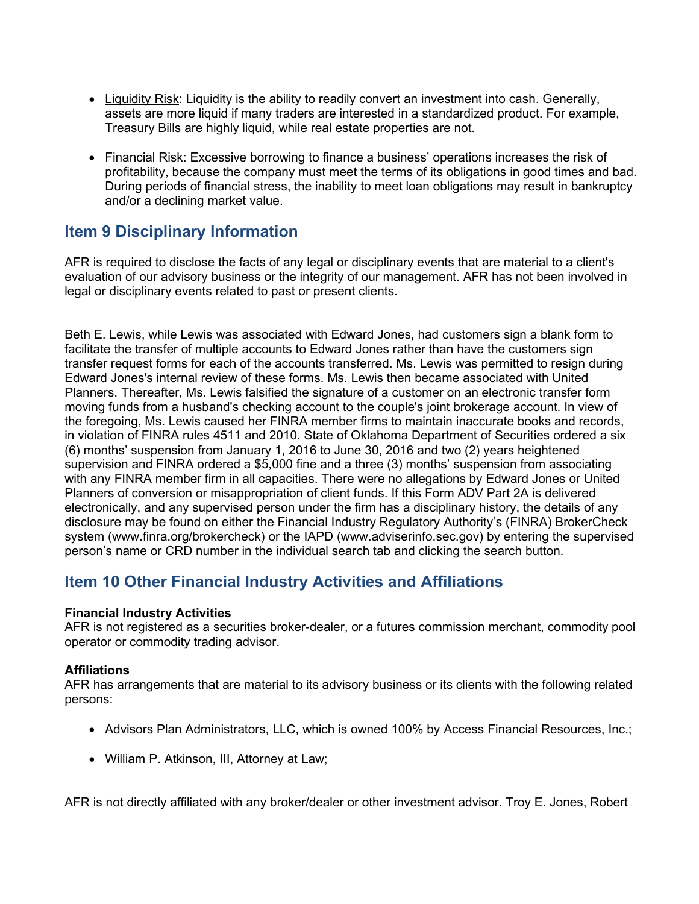- Liquidity Risk: Liquidity is the ability to readily convert an investment into cash. Generally, assets are more liquid if many traders are interested in a standardized product. For example, Treasury Bills are highly liquid, while real estate properties are not.
- Financial Risk: Excessive borrowing to finance a business' operations increases the risk of profitability, because the company must meet the terms of its obligations in good times and bad. During periods of financial stress, the inability to meet loan obligations may result in bankruptcy and/or a declining market value.

## <span id="page-9-0"></span>**Item 9 Disciplinary Information**

AFR is required to disclose the facts of any legal or disciplinary events that are material to a client's evaluation of our advisory business or the integrity of our management. AFR has not been involved in legal or disciplinary events related to past or present clients.

Beth E. Lewis, while Lewis was associated with Edward Jones, had customers sign a blank form to facilitate the transfer of multiple accounts to Edward Jones rather than have the customers sign transfer request forms for each of the accounts transferred. Ms. Lewis was permitted to resign during Edward Jones's internal review of these forms. Ms. Lewis then became associated with United Planners. Thereafter, Ms. Lewis falsified the signature of a customer on an electronic transfer form moving funds from a husband's checking account to the couple's joint brokerage account. In view of the foregoing, Ms. Lewis caused her FINRA member firms to maintain inaccurate books and records, in violation of FINRA rules 4511 and 2010. State of Oklahoma Department of Securities ordered a six (6) months' suspension from January 1, 2016 to June 30, 2016 and two (2) years heightened supervision and FINRA ordered a \$5,000 fine and a three (3) months' suspension from associating with any FINRA member firm in all capacities. There were no allegations by Edward Jones or United Planners of conversion or misappropriation of client funds. If this Form ADV Part 2A is delivered electronically, and any supervised person under the firm has a disciplinary history, the details of any disclosure may be found on either the Financial Industry Regulatory Authority's (FINRA) BrokerCheck system (www.finra.org/brokercheck) or the IAPD (www.adviserinfo.sec.gov) by entering the supervised person's name or CRD number in the individual search tab and clicking the search button.

## <span id="page-9-1"></span>**Item 10 Other Financial Industry Activities and Affiliations**

## **Financial Industry Activities**

AFR is not registered as a securities broker-dealer, or a futures commission merchant, commodity pool operator or commodity trading advisor.

## **Affiliations**

AFR has arrangements that are material to its advisory business or its clients with the following related persons:

- Advisors Plan Administrators, LLC, which is owned 100% by Access Financial Resources, Inc.;
- William P. Atkinson, III, Attorney at Law;

AFR is not directly affiliated with any broker/dealer or other investment advisor. Troy E. Jones, Robert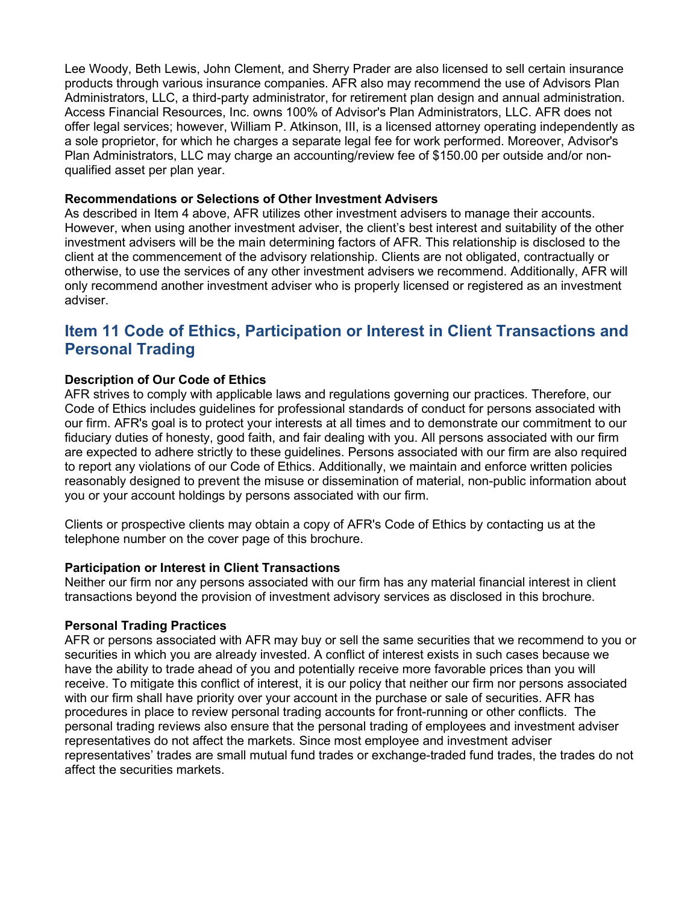Lee Woody, Beth Lewis, John Clement, and Sherry Prader are also licensed to sell certain insurance products through various insurance companies. AFR also may recommend the use of Advisors Plan Administrators, LLC, a third-party administrator, for retirement plan design and annual administration. Access Financial Resources, Inc. owns 100% of Advisor's Plan Administrators, LLC. AFR does not offer legal services; however, William P. Atkinson, III, is a licensed attorney operating independently as a sole proprietor, for which he charges a separate legal fee for work performed. Moreover, Advisor's Plan Administrators, LLC may charge an accounting/review fee of \$150.00 per outside and/or nonqualified asset per plan year.

### **Recommendations or Selections of Other Investment Advisers**

As described in Item 4 above, AFR utilizes other investment advisers to manage their accounts. However, when using another investment adviser, the client's best interest and suitability of the other investment advisers will be the main determining factors of AFR. This relationship is disclosed to the client at the commencement of the advisory relationship. Clients are not obligated, contractually or otherwise, to use the services of any other investment advisers we recommend. Additionally, AFR will only recommend another investment adviser who is properly licensed or registered as an investment adviser.

## <span id="page-10-0"></span>**Item 11 Code of Ethics, Participation or Interest in Client Transactions and Personal Trading**

## **Description of Our Code of Ethics**

AFR strives to comply with applicable laws and regulations governing our practices. Therefore, our Code of Ethics includes guidelines for professional standards of conduct for persons associated with our firm. AFR's goal is to protect your interests at all times and to demonstrate our commitment to our fiduciary duties of honesty, good faith, and fair dealing with you. All persons associated with our firm are expected to adhere strictly to these guidelines. Persons associated with our firm are also required to report any violations of our Code of Ethics. Additionally, we maintain and enforce written policies reasonably designed to prevent the misuse or dissemination of material, non-public information about you or your account holdings by persons associated with our firm.

Clients or prospective clients may obtain a copy of AFR's Code of Ethics by contacting us at the telephone number on the cover page of this brochure.

### **Participation or Interest in Client Transactions**

Neither our firm nor any persons associated with our firm has any material financial interest in client transactions beyond the provision of investment advisory services as disclosed in this brochure.

### **Personal Trading Practices**

AFR or persons associated with AFR may buy or sell the same securities that we recommend to you or securities in which you are already invested. A conflict of interest exists in such cases because we have the ability to trade ahead of you and potentially receive more favorable prices than you will receive. To mitigate this conflict of interest, it is our policy that neither our firm nor persons associated with our firm shall have priority over your account in the purchase or sale of securities. AFR has procedures in place to review personal trading accounts for front-running or other conflicts. The personal trading reviews also ensure that the personal trading of employees and investment adviser representatives do not affect the markets. Since most employee and investment adviser representatives' trades are small mutual fund trades or exchange-traded fund trades, the trades do not affect the securities markets.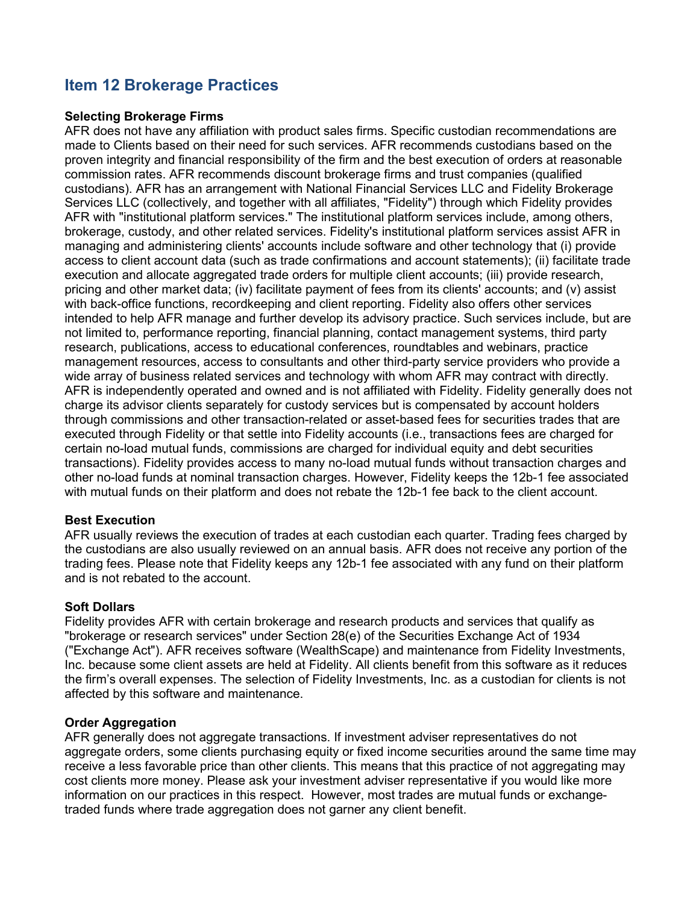## <span id="page-11-0"></span>**Item 12 Brokerage Practices**

### **Selecting Brokerage Firms**

AFR does not have any affiliation with product sales firms. Specific custodian recommendations are made to Clients based on their need for such services. AFR recommends custodians based on the proven integrity and financial responsibility of the firm and the best execution of orders at reasonable commission rates. AFR recommends discount brokerage firms and trust companies (qualified custodians). AFR has an arrangement with National Financial Services LLC and Fidelity Brokerage Services LLC (collectively, and together with all affiliates, "Fidelity") through which Fidelity provides AFR with "institutional platform services." The institutional platform services include, among others, brokerage, custody, and other related services. Fidelity's institutional platform services assist AFR in managing and administering clients' accounts include software and other technology that (i) provide access to client account data (such as trade confirmations and account statements); (ii) facilitate trade execution and allocate aggregated trade orders for multiple client accounts; (iii) provide research, pricing and other market data; (iv) facilitate payment of fees from its clients' accounts; and (v) assist with back-office functions, recordkeeping and client reporting. Fidelity also offers other services intended to help AFR manage and further develop its advisory practice. Such services include, but are not limited to, performance reporting, financial planning, contact management systems, third party research, publications, access to educational conferences, roundtables and webinars, practice management resources, access to consultants and other third-party service providers who provide a wide array of business related services and technology with whom AFR may contract with directly. AFR is independently operated and owned and is not affiliated with Fidelity. Fidelity generally does not charge its advisor clients separately for custody services but is compensated by account holders through commissions and other transaction-related or asset-based fees for securities trades that are executed through Fidelity or that settle into Fidelity accounts (i.e., transactions fees are charged for certain no-load mutual funds, commissions are charged for individual equity and debt securities transactions). Fidelity provides access to many no-load mutual funds without transaction charges and other no-load funds at nominal transaction charges. However, Fidelity keeps the 12b-1 fee associated with mutual funds on their platform and does not rebate the 12b-1 fee back to the client account.

## **Best Execution**

AFR usually reviews the execution of trades at each custodian each quarter. Trading fees charged by the custodians are also usually reviewed on an annual basis. AFR does not receive any portion of the trading fees. Please note that Fidelity keeps any 12b-1 fee associated with any fund on their platform and is not rebated to the account.

### **Soft Dollars**

Fidelity provides AFR with certain brokerage and research products and services that qualify as "brokerage or research services" under Section 28(e) of the Securities Exchange Act of 1934 ("Exchange Act"). AFR receives software (WealthScape) and maintenance from Fidelity Investments, Inc. because some client assets are held at Fidelity. All clients benefit from this software as it reduces the firm's overall expenses. The selection of Fidelity Investments, Inc. as a custodian for clients is not affected by this software and maintenance.

### **Order Aggregation**

AFR generally does not aggregate transactions. If investment adviser representatives do not aggregate orders, some clients purchasing equity or fixed income securities around the same time may receive a less favorable price than other clients. This means that this practice of not aggregating may cost clients more money. Please ask your investment adviser representative if you would like more information on our practices in this respect. However, most trades are mutual funds or exchangetraded funds where trade aggregation does not garner any client benefit.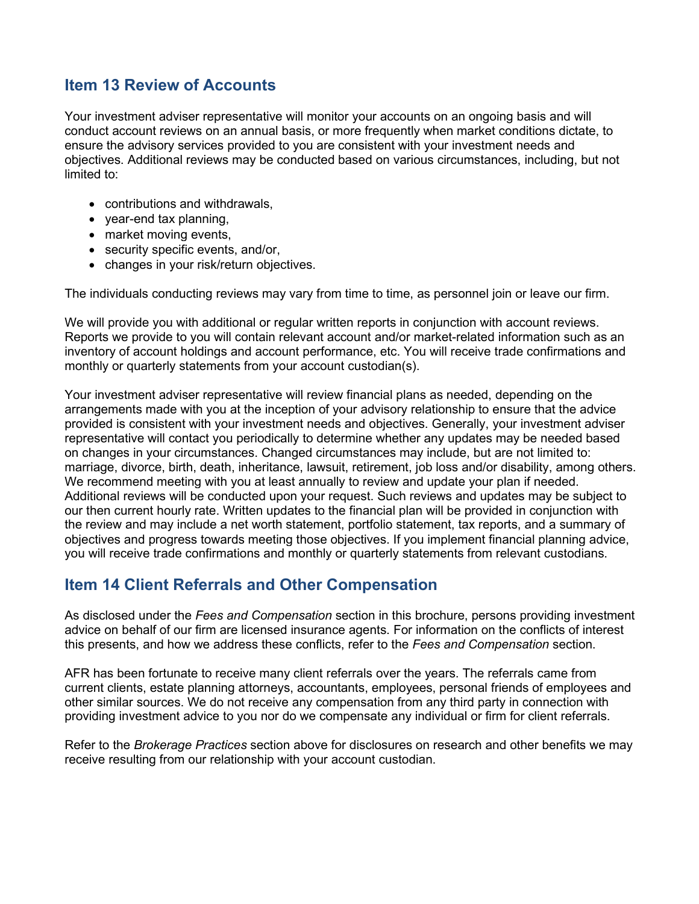## <span id="page-12-0"></span>**Item 13 Review of Accounts**

Your investment adviser representative will monitor your accounts on an ongoing basis and will conduct account reviews on an annual basis, or more frequently when market conditions dictate, to ensure the advisory services provided to you are consistent with your investment needs and objectives. Additional reviews may be conducted based on various circumstances, including, but not limited to:

- contributions and withdrawals,
- year-end tax planning,
- market moving events,
- security specific events, and/or,
- changes in your risk/return objectives.

The individuals conducting reviews may vary from time to time, as personnel join or leave our firm.

We will provide you with additional or regular written reports in conjunction with account reviews. Reports we provide to you will contain relevant account and/or market-related information such as an inventory of account holdings and account performance, etc. You will receive trade confirmations and monthly or quarterly statements from your account custodian(s).

Your investment adviser representative will review financial plans as needed, depending on the arrangements made with you at the inception of your advisory relationship to ensure that the advice provided is consistent with your investment needs and objectives. Generally, your investment adviser representative will contact you periodically to determine whether any updates may be needed based on changes in your circumstances. Changed circumstances may include, but are not limited to: marriage, divorce, birth, death, inheritance, lawsuit, retirement, job loss and/or disability, among others. We recommend meeting with you at least annually to review and update your plan if needed. Additional reviews will be conducted upon your request. Such reviews and updates may be subject to our then current hourly rate. Written updates to the financial plan will be provided in conjunction with the review and may include a net worth statement, portfolio statement, tax reports, and a summary of objectives and progress towards meeting those objectives. If you implement financial planning advice, you will receive trade confirmations and monthly or quarterly statements from relevant custodians.

## <span id="page-12-1"></span>**Item 14 Client Referrals and Other Compensation**

As disclosed under the *Fees and Compensation* section in this brochure, persons providing investment advice on behalf of our firm are licensed insurance agents. For information on the conflicts of interest this presents, and how we address these conflicts, refer to the *Fees and Compensation* section.

AFR has been fortunate to receive many client referrals over the years. The referrals came from current clients, estate planning attorneys, accountants, employees, personal friends of employees and other similar sources. We do not receive any compensation from any third party in connection with providing investment advice to you nor do we compensate any individual or firm for client referrals.

Refer to the *Brokerage Practices* section above for disclosures on research and other benefits we may receive resulting from our relationship with your account custodian.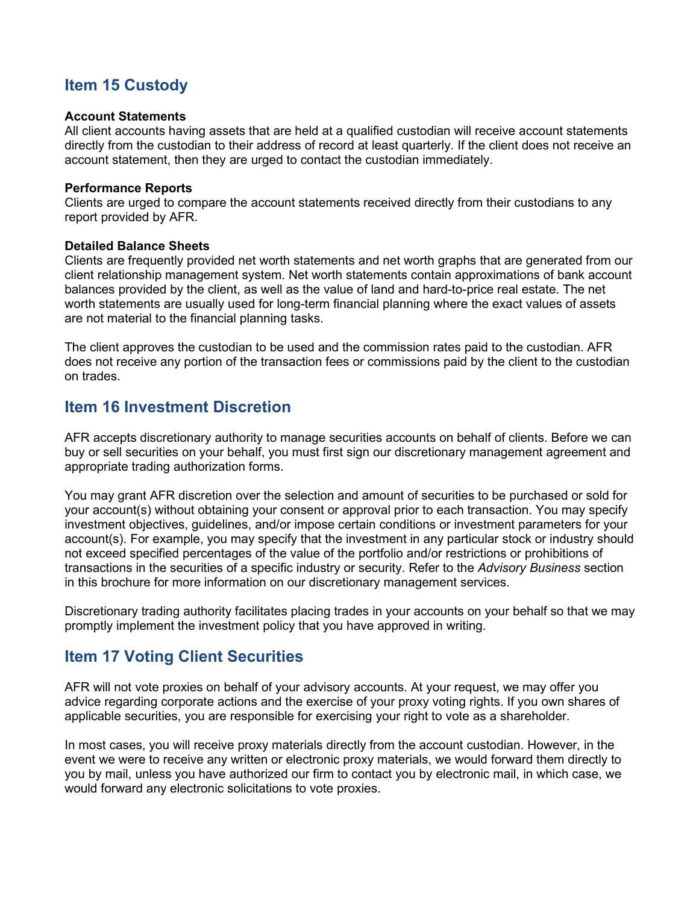## <span id="page-13-0"></span>**Item 15 Custody**

### **Account Statements**

All client accounts having assets that are held at a qualified custodian will receive account statements directly from the custodian to their address of record at least quarterly. If the client does not receive an account statement, then they are urged to contact the custodian immediately.

### **Performance Reports**

Clients are urged to compare the account statements received directly from their custodians to any report provided by AFR.

### **Detailed Balance Sheets**

Clients are frequently provided net worth statements and net worth graphs that are generated from our client relationship management system. Net worth statements contain approximations of bank account balances provided by the client, as well as the value of land and hard-to-price real estate. The net worth statements are usually used for long-term financial planning where the exact values of assets are not material to the financial planning tasks.

The client approves the custodian to be used and the commission rates paid to the custodian. AFR does not receive any portion of the transaction fees or commissions paid by the client to the custodian on trades.

## <span id="page-13-1"></span>**Item 16 Investment Discretion**

AFR accepts discretionary authority to manage securities accounts on behalf of clients. Before we can buy or sell securities on your behalf, you must first sign our discretionary management agreement and appropriate trading authorization forms.

You may grant AFR discretion over the selection and amount of securities to be purchased or sold for your account(s) without obtaining your consent or approval prior to each transaction. You may specify investment objectives, guidelines, and/or impose certain conditions or investment parameters for your account(s). For example, you may specify that the investment in any particular stock or industry should not exceed specified percentages of the value of the portfolio and/or restrictions or prohibitions of transactions in the securities of a specific industry or security. Refer to the *Advisory Business* section in this brochure for more information on our discretionary management services.

Discretionary trading authority facilitates placing trades in your accounts on your behalf so that we may promptly implement the investment policy that you have approved in writing.

## <span id="page-13-2"></span>**Item 17 Voting Client Securities**

AFR will not vote proxies on behalf of your advisory accounts. At your request, we may offer you advice regarding corporate actions and the exercise of your proxy voting rights. If you own shares of applicable securities, you are responsible for exercising your right to vote as a shareholder.

In most cases, you will receive proxy materials directly from the account custodian. However, in the event we were to receive any written or electronic proxy materials, we would forward them directly to you by mail, unless you have authorized our firm to contact you by electronic mail, in which case, we would forward any electronic solicitations to vote proxies.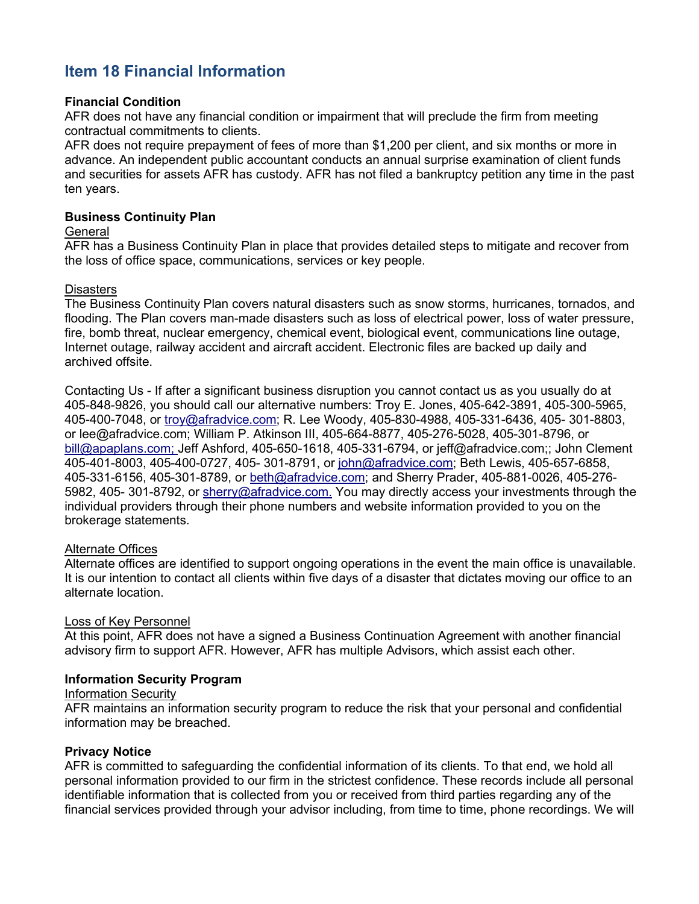## <span id="page-14-0"></span>**Item 18 Financial Information**

## **Financial Condition**

AFR does not have any financial condition or impairment that will preclude the firm from meeting contractual commitments to clients.

AFR does not require prepayment of fees of more than \$1,200 per client, and six months or more in advance. An independent public accountant conducts an annual surprise examination of client funds and securities for assets AFR has custody. AFR has not filed a bankruptcy petition any time in the past ten years.

### **Business Continuity Plan**

### **General**

AFR has a Business Continuity Plan in place that provides detailed steps to mitigate and recover from the loss of office space, communications, services or key people.

### **Disasters**

The Business Continuity Plan covers natural disasters such as snow storms, hurricanes, tornados, and flooding. The Plan covers man-made disasters such as loss of electrical power, loss of water pressure, fire, bomb threat, nuclear emergency, chemical event, biological event, communications line outage, Internet outage, railway accident and aircraft accident. Electronic files are backed up daily and archived offsite.

Contacting Us - If after a significant business disruption you cannot contact us as you usually do at 405-848-9826, you should call our alternative numbers: Troy E. Jones, 405-642-3891, 405-300-5965, 405-400-7048, or [troy@afradvice.com;](mailto:troy@afradvice.com) R. Lee Woody, 405-830-4988, 405-331-6436, 405- 301-8803, or lee@afradvice.com; William P. Atkinson III, 405-664-8877, 405-276-5028, 405-301-8796, or [bill@apaplans.com; J](mailto:bill@apaplans.com)eff Ashford, 405-650-1618, 405-331-6794, or jeff@afradvice.com;; John Clement 405-401-8003, 405-400-0727, 405- 301-8791, or [john@afradvice.com;](mailto:john@afradvice.com) Beth Lewis, 405-657-6858, 405-331-6156, 405-301-8789, or [beth@afradvice.com;](mailto:beth@afradvice.com) and Sherry Prader, 405-881-0026, 405-276- 5982, 405- 301-8792, or [sherry@afradvice.com.](mailto:sherry@afradvice.com) You may directly access your investments through the individual providers through their phone numbers and website information provided to you on the brokerage statements.

## Alternate Offices

Alternate offices are identified to support ongoing operations in the event the main office is unavailable. It is our intention to contact all clients within five days of a disaster that dictates moving our office to an alternate location.

### Loss of Key Personnel

At this point, AFR does not have a signed a Business Continuation Agreement with another financial advisory firm to support AFR. However, AFR has multiple Advisors, which assist each other.

### **Information Security Program**

### Information Security

AFR maintains an information security program to reduce the risk that your personal and confidential information may be breached.

## **Privacy Notice**

AFR is committed to safeguarding the confidential information of its clients. To that end, we hold all personal information provided to our firm in the strictest confidence. These records include all personal identifiable information that is collected from you or received from third parties regarding any of the financial services provided through your advisor including, from time to time, phone recordings. We will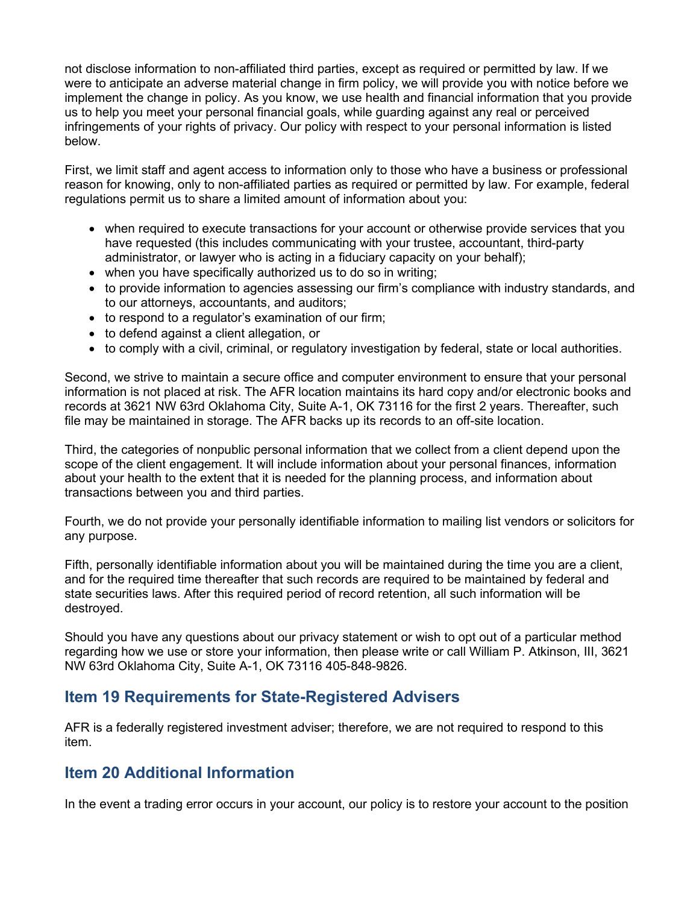not disclose information to non-affiliated third parties, except as required or permitted by law. If we were to anticipate an adverse material change in firm policy, we will provide you with notice before we implement the change in policy. As you know, we use health and financial information that you provide us to help you meet your personal financial goals, while guarding against any real or perceived infringements of your rights of privacy. Our policy with respect to your personal information is listed below.

First, we limit staff and agent access to information only to those who have a business or professional reason for knowing, only to non-affiliated parties as required or permitted by law. For example, federal regulations permit us to share a limited amount of information about you:

- when required to execute transactions for your account or otherwise provide services that you have requested (this includes communicating with your trustee, accountant, third-party administrator, or lawyer who is acting in a fiduciary capacity on your behalf);
- when you have specifically authorized us to do so in writing;
- to provide information to agencies assessing our firm's compliance with industry standards, and to our attorneys, accountants, and auditors;
- to respond to a regulator's examination of our firm;
- to defend against a client allegation, or
- to comply with a civil, criminal, or regulatory investigation by federal, state or local authorities.

Second, we strive to maintain a secure office and computer environment to ensure that your personal information is not placed at risk. The AFR location maintains its hard copy and/or electronic books and records at 3621 NW 63rd Oklahoma City, Suite A-1, OK 73116 for the first 2 years. Thereafter, such file may be maintained in storage. The AFR backs up its records to an off-site location.

Third, the categories of nonpublic personal information that we collect from a client depend upon the scope of the client engagement. It will include information about your personal finances, information about your health to the extent that it is needed for the planning process, and information about transactions between you and third parties.

Fourth, we do not provide your personally identifiable information to mailing list vendors or solicitors for any purpose.

Fifth, personally identifiable information about you will be maintained during the time you are a client, and for the required time thereafter that such records are required to be maintained by federal and state securities laws. After this required period of record retention, all such information will be destroyed.

Should you have any questions about our privacy statement or wish to opt out of a particular method regarding how we use or store your information, then please write or call William P. Atkinson, III, 3621 NW 63rd Oklahoma City, Suite A-1, OK 73116 405-848-9826.

## <span id="page-15-0"></span>**Item 19 Requirements for State-Registered Advisers**

AFR is a federally registered investment adviser; therefore, we are not required to respond to this item.

## <span id="page-15-1"></span>**Item 20 Additional Information**

In the event a trading error occurs in your account, our policy is to restore your account to the position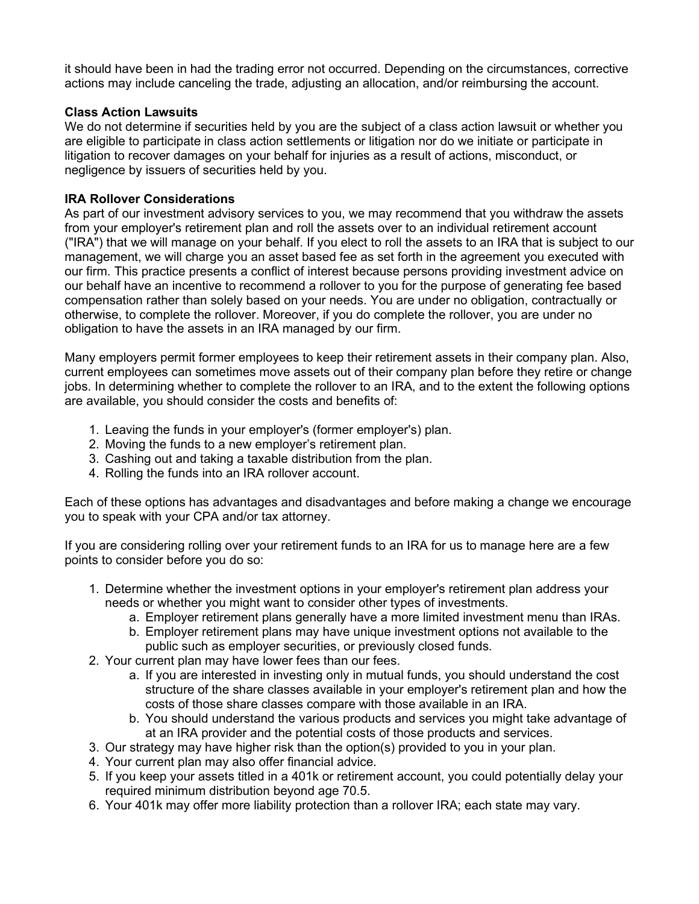it should have been in had the trading error not occurred. Depending on the circumstances, corrective actions may include canceling the trade, adjusting an allocation, and/or reimbursing the account.

## **Class Action Lawsuits**

We do not determine if securities held by you are the subject of a class action lawsuit or whether you are eligible to participate in class action settlements or litigation nor do we initiate or participate in litigation to recover damages on your behalf for injuries as a result of actions, misconduct, or negligence by issuers of securities held by you.

## **IRA Rollover Considerations**

As part of our investment advisory services to you, we may recommend that you withdraw the assets from your employer's retirement plan and roll the assets over to an individual retirement account ("IRA") that we will manage on your behalf. If you elect to roll the assets to an IRA that is subject to our management, we will charge you an asset based fee as set forth in the agreement you executed with our firm. This practice presents a conflict of interest because persons providing investment advice on our behalf have an incentive to recommend a rollover to you for the purpose of generating fee based compensation rather than solely based on your needs. You are under no obligation, contractually or otherwise, to complete the rollover. Moreover, if you do complete the rollover, you are under no obligation to have the assets in an IRA managed by our firm.

Many employers permit former employees to keep their retirement assets in their company plan. Also, current employees can sometimes move assets out of their company plan before they retire or change jobs. In determining whether to complete the rollover to an IRA, and to the extent the following options are available, you should consider the costs and benefits of:

- 1. Leaving the funds in your employer's (former employer's) plan.
- 2. Moving the funds to a new employer's retirement plan.
- 3. Cashing out and taking a taxable distribution from the plan.
- 4. Rolling the funds into an IRA rollover account.

Each of these options has advantages and disadvantages and before making a change we encourage you to speak with your CPA and/or tax attorney.

If you are considering rolling over your retirement funds to an IRA for us to manage here are a few points to consider before you do so:

- 1. Determine whether the investment options in your employer's retirement plan address your needs or whether you might want to consider other types of investments.
	- a. Employer retirement plans generally have a more limited investment menu than IRAs.
	- b. Employer retirement plans may have unique investment options not available to the public such as employer securities, or previously closed funds.
- 2. Your current plan may have lower fees than our fees.
	- a. If you are interested in investing only in mutual funds, you should understand the cost structure of the share classes available in your employer's retirement plan and how the costs of those share classes compare with those available in an IRA.
	- b. You should understand the various products and services you might take advantage of at an IRA provider and the potential costs of those products and services.
- 3. Our strategy may have higher risk than the option(s) provided to you in your plan.
- 4. Your current plan may also offer financial advice.
- 5. If you keep your assets titled in a 401k or retirement account, you could potentially delay your required minimum distribution beyond age 70.5.
- 6. Your 401k may offer more liability protection than a rollover IRA; each state may vary.